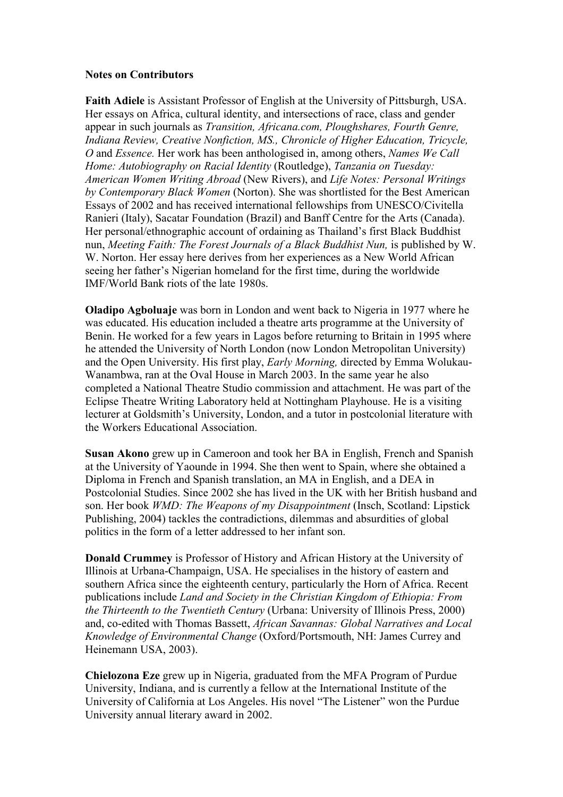## **Notes on Contributors**

**Faith Adiele** is Assistant Professor of English at the University of Pittsburgh, USA. Her essays on Africa, cultural identity, and intersections of race, class and gender appear in such journals as *Transition, Africana.com, Ploughshares, Fourth Genre, Indiana Review, Creative Nonfiction, MS., Chronicle of Higher Education, Tricycle, O* and *Essence.* Her work has been anthologised in, among others, *Names We Call Home: Autobiography on Racial Identity* (Routledge), *Tanzania on Tuesday: American Women Writing Abroad* (New Rivers), and *Life Notes: Personal Writings by Contemporary Black Women* (Norton). She was shortlisted for the Best American Essays of 2002 and has received international fellowships from UNESCO/Civitella Ranieri (Italy), Sacatar Foundation (Brazil) and Banff Centre for the Arts (Canada). Her personal/ethnographic account of ordaining as Thailand's first Black Buddhist nun, *Meeting Faith: The Forest Journals of a Black Buddhist Nun,* is published by W. W. Norton. Her essay here derives from her experiences as a New World African seeing her father's Nigerian homeland for the first time, during the worldwide IMF/World Bank riots of the late 1980s.

**Oladipo Agboluaje** was born in London and went back to Nigeria in 1977 where he was educated. His education included a theatre arts programme at the University of Benin. He worked for a few years in Lagos before returning to Britain in 1995 where he attended the University of North London (now London Metropolitan University) and the Open University. His first play, *Early Morning,* directed by Emma Wolukau-Wanambwa, ran at the Oval House in March 2003. In the same year he also completed a National Theatre Studio commission and attachment. He was part of the Eclipse Theatre Writing Laboratory held at Nottingham Playhouse. He is a visiting lecturer at Goldsmith's University, London, and a tutor in postcolonial literature with the Workers Educational Association.

**Susan Akono** grew up in Cameroon and took her BA in English, French and Spanish at the University of Yaounde in 1994. She then went to Spain, where she obtained a Diploma in French and Spanish translation, an MA in English, and a DEA in Postcolonial Studies. Since 2002 she has lived in the UK with her British husband and son. Her book *WMD: The Weapons of my Disappointment* (Insch, Scotland: Lipstick Publishing, 2004) tackles the contradictions, dilemmas and absurdities of global politics in the form of a letter addressed to her infant son.

**Donald Crummey** is Professor of History and African History at the University of Illinois at Urbana-Champaign, USA. He specialises in the history of eastern and southern Africa since the eighteenth century, particularly the Horn of Africa. Recent publications include *Land and Society in the Christian Kingdom of Ethiopia: From the Thirteenth to the Twentieth Century* (Urbana: University of Illinois Press, 2000) and, co-edited with Thomas Bassett, *African Savannas: Global Narratives and Local Knowledge of Environmental Change* (Oxford/Portsmouth, NH: James Currey and Heinemann USA, 2003).

**Chielozona Eze** grew up in Nigeria, graduated from the MFA Program of Purdue University, Indiana, and is currently a fellow at the International Institute of the University of California at Los Angeles. His novel "The Listener" won the Purdue University annual literary award in 2002.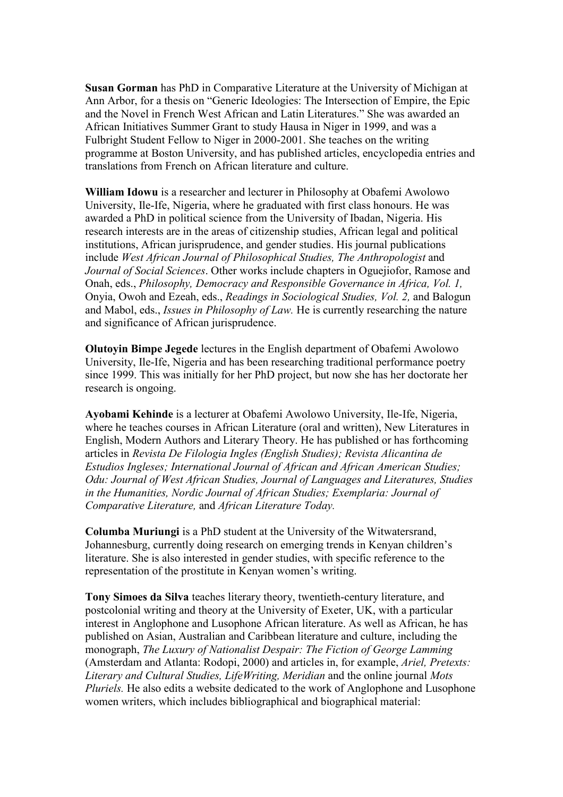**Susan Gorman** has PhD in Comparative Literature at the University of Michigan at Ann Arbor, for a thesis on "Generic Ideologies: The Intersection of Empire, the Epic and the Novel in French West African and Latin Literatures." She was awarded an African Initiatives Summer Grant to study Hausa in Niger in 1999, and was a Fulbright Student Fellow to Niger in 2000-2001. She teaches on the writing programme at Boston University, and has published articles, encyclopedia entries and translations from French on African literature and culture.

**William Idowu** is a researcher and lecturer in Philosophy at Obafemi Awolowo University, Ile-Ife, Nigeria, where he graduated with first class honours. He was awarded a PhD in political science from the University of Ibadan, Nigeria. His research interests are in the areas of citizenship studies, African legal and political institutions, African jurisprudence, and gender studies. His journal publications include *West African Journal of Philosophical Studies, The Anthropologist* and *Journal of Social Sciences*. Other works include chapters in Oguejiofor, Ramose and Onah, eds., *Philosophy, Democracy and Responsible Governance in Africa, Vol. 1,*  Onyia, Owoh and Ezeah, eds., *Readings in Sociological Studies, Vol. 2,* and Balogun and Mabol, eds., *Issues in Philosophy of Law.* He is currently researching the nature and significance of African jurisprudence.

**Olutoyin Bimpe Jegede** lectures in the English department of Obafemi Awolowo University, Ile-Ife, Nigeria and has been researching traditional performance poetry since 1999. This was initially for her PhD project, but now she has her doctorate her research is ongoing.

**Ayobami Kehinde** is a lecturer at Obafemi Awolowo University, Ile-Ife, Nigeria, where he teaches courses in African Literature (oral and written), New Literatures in English, Modern Authors and Literary Theory. He has published or has forthcoming articles in *Revista De Filologia Ingles (English Studies); Revista Alicantina de Estudios Ingleses; International Journal of African and African American Studies; Odu: Journal of West African Studies, Journal of Languages and Literatures, Studies in the Humanities, Nordic Journal of African Studies; Exemplaria: Journal of Comparative Literature,* and *African Literature Today.* 

**Columba Muriungi** is a PhD student at the University of the Witwatersrand, Johannesburg, currently doing research on emerging trends in Kenyan children's literature. She is also interested in gender studies, with specific reference to the representation of the prostitute in Kenyan women's writing.

**Tony Simoes da Silva** teaches literary theory, twentieth-century literature, and postcolonial writing and theory at the University of Exeter, UK, with a particular interest in Anglophone and Lusophone African literature. As well as African, he has published on Asian, Australian and Caribbean literature and culture, including the monograph, *The Luxury of Nationalist Despair: The Fiction of George Lamming*  (Amsterdam and Atlanta: Rodopi, 2000) and articles in, for example, *Ariel, Pretexts: Literary and Cultural Studies, LifeWriting, Meridian* and the online journal *Mots Pluriels.* He also edits a website dedicated to the work of Anglophone and Lusophone women writers, which includes bibliographical and biographical material: